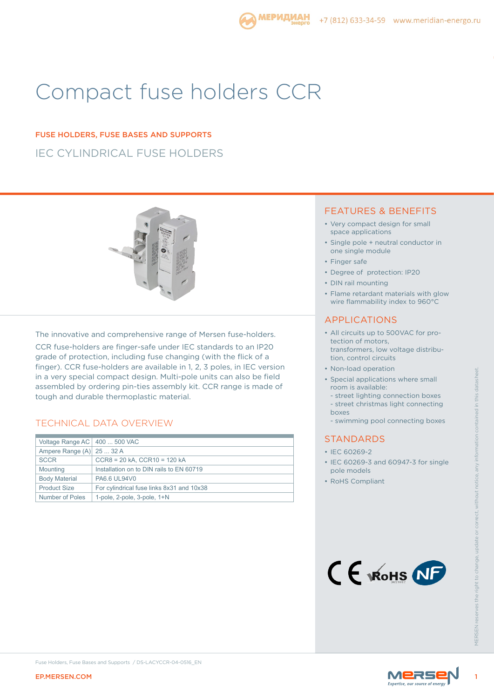# Compact fuse holders CCR

# IEC CYLINDRICAL FUSE HOLDERS FUSE HOLDERS, FUSE BASES AND SUPPORTS



The innovative and comprehensive range of Mersen fuse-holders.

CCR fuse-holders are finger-safe under IEC standards to an IP20 grade of protection, including fuse changing (with the flick of a finger). CCR fuse-holders are available in 1, 2, 3 poles, in IEC version in a very special compact design. Multi-pole units can also be field assembled by ordering pin-ties assembly kit. CCR range is made of tough and durable thermoplastic material.

### TECHNICAL DATA OVERVIEW

| Ampere Range (A)<br><b>SCCR</b><br>Mounting<br><b>Body Material</b><br><b>Product Size</b> | 25  32 A<br>CCR8 = 20 kA, CCR10 = 120 kA<br>Installation on to DIN rails to EN 60719<br>PA6.6 UL94V0<br>For cylindrical fuse links 8x31 and 10x38 | • IEC 60269-2<br>• IEC 60269-3 and 60947-3 for single<br>pole models<br>• RoHS Compliant |               |
|--------------------------------------------------------------------------------------------|---------------------------------------------------------------------------------------------------------------------------------------------------|------------------------------------------------------------------------------------------|---------------|
| <b>Number of Poles</b>                                                                     | 1-pole, 2-pole, 3-pole, 1+N                                                                                                                       | CE WOHS NF                                                                               | <b>NFRSFN</b> |
| <b>EP.MERSEN.COM</b>                                                                       | Fuse Holders, Fuse Bases and Supports / DS-LACYCCR-04-0516_EN<br>MERSE                                                                            |                                                                                          |               |

### FEATURES & BENEFITS

- Very compact design for small space applications
- Single pole + neutral conductor in one single module
- Finger safe
- Degree of protection: IP20
- DIN rail mounting
- Flame retardant materials with glow wire flammability index to 960°C

### APPLICATIONS

- All circuits up to 500VAC for protection of motors, transformers, low voltage distribution, control circuits
- Non-load operation
- Special applications where small room is available:
	- street lighting connection boxes
- street christmas light connecting boxes
- swimming pool connecting boxes

### **STANDARDS**

- IEC 60269-2
- IEC 60269-3 and 60947-3 for single pole models
- RoHS Compliant





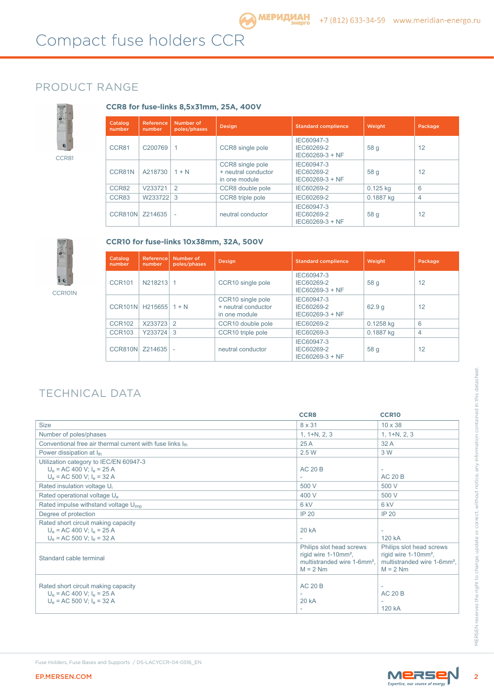### PRODUCT RANGE



**CCR8 for fuse-links 8,5x31mm, 25A, 400V**

| Catalog<br>number | Reference<br>number | Number of<br>poles/phases | <b>Design</b>                                            | <b>Standard complience</b>                  | Weight     | Package |
|-------------------|---------------------|---------------------------|----------------------------------------------------------|---------------------------------------------|------------|---------|
| CCR81             | C200769             |                           | CCR8 single pole                                         | IEC60947-3<br>IEC60269-2<br>IEC60269-3 + NF | 58 g       | 12      |
| CCR81N            | A218730             | $1 + N$                   | CCR8 single pole<br>+ neutral conductor<br>in one module | IEC60947-3<br>IEC60269-2<br>IEC60269-3 + NF | 58 g       | 12      |
| CCR82             | V233721             | 2                         | CCR8 double pole                                         | IEC60269-2                                  | $0.125$ kg | 6       |
| CCR83             | W233722             | 3                         | CCR8 triple pole                                         | IEC60269-2                                  | 0.1887 kg  | 4       |
| CCR810N           | Z214635             | ٠                         | neutral conductor                                        | IEC60947-3<br>IEC60269-2<br>IEC60269-3 + NF | 58 g       | 12      |



CCR101N

| CCR10 for fuse-links 10x38mm, 32A, 500V |  |
|-----------------------------------------|--|
|-----------------------------------------|--|

| Catalog<br>number | <b>Reference</b><br>number | Number of<br>poles/phases | <b>Design</b>                                             | <b>Standard complience</b>                  | Weight      | Package        |
|-------------------|----------------------------|---------------------------|-----------------------------------------------------------|---------------------------------------------|-------------|----------------|
| <b>CCR101</b>     | N218213                    | 1.                        | CCR10 single pole                                         | IEC60947-3<br>IEC60269-2<br>IEC60269-3 + NF | 58 g        | 12             |
| CCR101N H215655   |                            | $1 + N$                   | CCR10 single pole<br>+ neutral conductor<br>in one module | IEC60947-3<br>IEC60269-2<br>IEC60269-3 + NF | 62.9q       | 12             |
| <b>CCR102</b>     | X233723 2                  |                           | CCR <sub>10</sub> double pole                             | IEC60269-2                                  | $0.1258$ kg | 6              |
| <b>CCR103</b>     | Y233724 3                  |                           | CCR <sub>10</sub> triple pole                             | IEC60269-3                                  | 0.1887 kg   | $\overline{4}$ |
| CCR810N           | Z214635                    |                           | neutral conductor                                         | IEC60947-3<br>IEC60269-2<br>IEC60269-3 + NF | 58 g        | 12             |

# TECHNICAL DATA

|                                                                                                            | <b>CCR8</b>                                                                                                           | <b>CCR10</b>                                                                                                          |
|------------------------------------------------------------------------------------------------------------|-----------------------------------------------------------------------------------------------------------------------|-----------------------------------------------------------------------------------------------------------------------|
| <b>Size</b>                                                                                                | 8 x 31                                                                                                                | $10 \times 38$                                                                                                        |
| Number of poles/phases                                                                                     | $1, 1+N, 2, 3$                                                                                                        | $1, 1+N, 2, 3$                                                                                                        |
| Conventional free air thermal current with fuse links Ith                                                  | 25A                                                                                                                   | 32A                                                                                                                   |
| Power dissipation at Ith                                                                                   | 2.5 W                                                                                                                 | 3 W                                                                                                                   |
| Utilization category to IEC/EN 60947-3<br>$U_e$ = AC 400 V; $I_e$ = 25 A<br>$U_e$ = AC 500 V; $I_e$ = 32 A | <b>AC 20 B</b>                                                                                                        | $\overline{\phantom{a}}$<br><b>AC 20 B</b>                                                                            |
| Rated insulation voltage U <sub>i</sub>                                                                    | 500 V                                                                                                                 | 500 V                                                                                                                 |
| Rated operational voltage U <sub>e</sub>                                                                   | 400 V                                                                                                                 | 500 V                                                                                                                 |
| Rated impulse withstand voltage U <sub>imp</sub>                                                           | 6 kV                                                                                                                  | 6 kV                                                                                                                  |
| Degree of protection                                                                                       | <b>IP 20</b>                                                                                                          | IP 20                                                                                                                 |
| Rated short circuit making capacity<br>$U_e$ = AC 400 V; $I_e$ = 25 A<br>$U_e$ = AC 500 V; $I_e$ = 32 A    | <b>20 kA</b>                                                                                                          | 120 kA                                                                                                                |
| Standard cable terminal                                                                                    | Philips slot head screws<br>rigid wire 1-10mm <sup>2</sup> ,<br>multistranded wire 1-6mm <sup>2</sup> .<br>$M = 2 Nm$ | Philips slot head screws<br>rigid wire 1-10mm <sup>2</sup> .<br>multistranded wire 1-6mm <sup>2</sup> ,<br>$M = 2 Nm$ |
| Rated short circuit making capacity<br>$U_e$ = AC 400 V; $I_e$ = 25 A<br>$U_e$ = AC 500 V; $I_e$ = 32 A    | <b>AC 20 B</b><br>ä,<br>20 kA                                                                                         | <b>AC 20 B</b><br>120 kA                                                                                              |

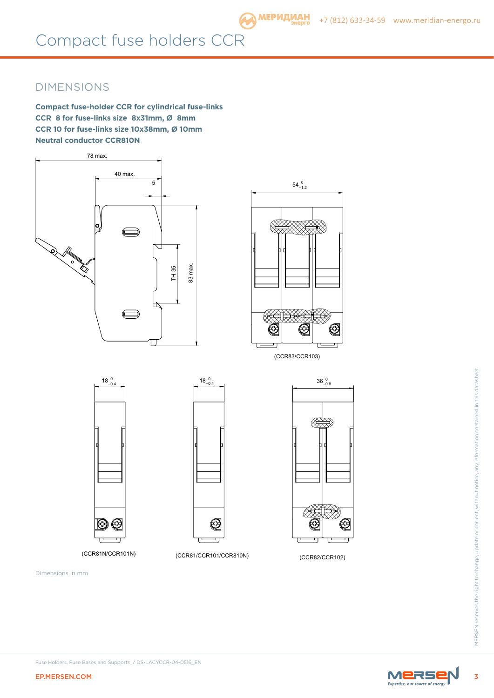# Compact fuse holders CCR

## DIMENSIONS

**Compact fuse-holder CCR for cylindrical fuse-links CCR 8 for fuse-links size 8x31mm, Ø 8mm CCR 10 for fuse-links size 10x38mm, Ø 10mm Neutral conductor CCR810N** 





(CCR83/CCR103)

 $18^{0}_{-0.4}$ 

 $18^{0}_{-0.4}$ 



(CCR81N/CCR101N) (CCR81/CCR101/CCR810N) (CCR82/CCR102)

Dimensions in mm